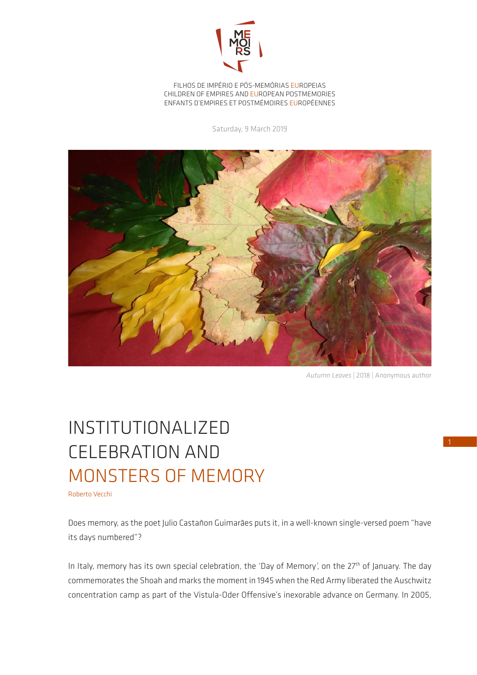

FILHOS DE IMPÉRIO E PÓS-MEMÓRIAS EUROPEIAS CHILDREN OF EMPIRES AND EUROPEAN POSTMEMORIES ENFANTS D'EMPIRES ET POSTMÉMOIRES EUROPÉENNES

Saturday, 9 March 2019



*Autumn Leaves* | 2018 | Anonymous author

## INSTITUTIONALIZED CELEBRATION AND MONSTERS OF MEMORY

Roberto Vecchi

Does memory, as the poet Julio Castañon Guimarães puts it, in a well-known single-versed poem "have its days numbered"?

In Italy, memory has its own special celebration, the 'Day of Memory', on the 27<sup>th</sup> of January. The day commemorates the Shoah and marks the moment in 1945 when the Red Army liberated the Auschwitz concentration camp as part of the Vistula-Oder Offensive's inexorable advance on Germany. In 2005,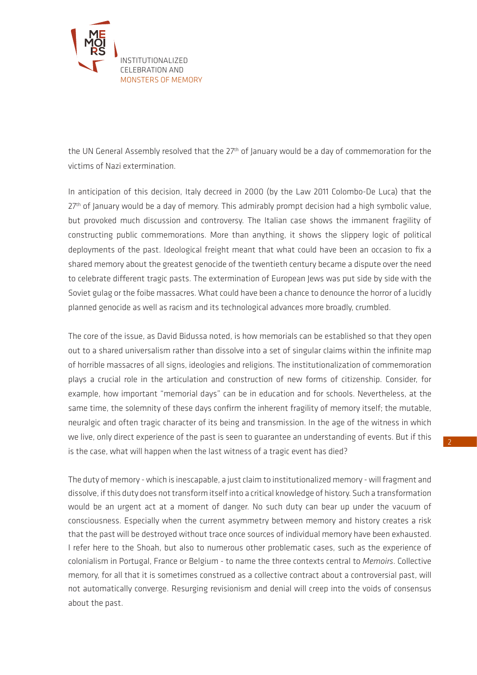

the UN General Assembly resolved that the 27<sup>th</sup> of January would be a day of commemoration for the victims of Nazi extermination.

In anticipation of this decision, Italy decreed in 2000 (by the Law 2011 Colombo-De Luca) that the 27<sup>th</sup> of January would be a day of memory. This admirably prompt decision had a high symbolic value, but provoked much discussion and controversy. The Italian case shows the immanent fragility of constructing public commemorations. More than anything, it shows the slippery logic of political deployments of the past. Ideological freight meant that what could have been an occasion to fix a shared memory about the greatest genocide of the twentieth century became a dispute over the need to celebrate different tragic pasts. The extermination of European Jews was put side by side with the Soviet gulag or the foibe massacres. What could have been a chance to denounce the horror of a lucidly planned genocide as well as racism and its technological advances more broadly, crumbled.

The core of the issue, as David Bidussa noted, is how memorials can be established so that they open out to a shared universalism rather than dissolve into a set of singular claims within the infinite map of horrible massacres of all signs, ideologies and religions. The institutionalization of commemoration plays a crucial role in the articulation and construction of new forms of citizenship. Consider, for example, how important "memorial days" can be in education and for schools. Nevertheless, at the same time, the solemnity of these days confirm the inherent fragility of memory itself; the mutable, neuralgic and often tragic character of its being and transmission. In the age of the witness in which we live, only direct experience of the past is seen to guarantee an understanding of events. But if this is the case, what will happen when the last witness of a tragic event has died?

The duty of memory - which is inescapable, a just claim to institutionalized memory - will fragment and dissolve, if this duty does not transform itself into a critical knowledge of history. Such a transformation would be an urgent act at a moment of danger. No such duty can bear up under the vacuum of consciousness. Especially when the current asymmetry between memory and history creates a risk that the past will be destroyed without trace once sources of individual memory have been exhausted. I refer here to the Shoah, but also to numerous other problematic cases, such as the experience of colonialism in Portugal, France or Belgium - to name the three contexts central to *Memoirs*. Collective memory, for all that it is sometimes construed as a collective contract about a controversial past, will not automatically converge. Resurging revisionism and denial will creep into the voids of consensus about the past.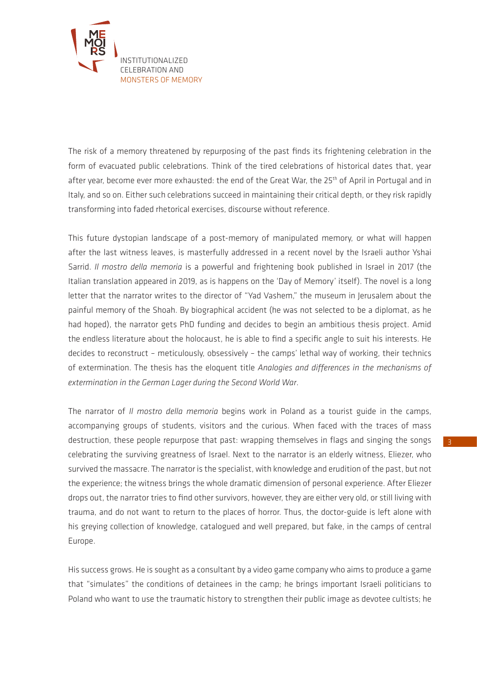

The risk of a memory threatened by repurposing of the past finds its frightening celebration in the form of evacuated public celebrations. Think of the tired celebrations of historical dates that, year after year, become ever more exhausted: the end of the Great War, the 25<sup>th</sup> of April in Portugal and in Italy, and so on. Either such celebrations succeed in maintaining their critical depth, or they risk rapidly transforming into faded rhetorical exercises, discourse without reference.

This future dystopian landscape of a post-memory of manipulated memory, or what will happen after the last witness leaves, is masterfully addressed in a recent novel by the Israeli author Yshai Sarrid. *Il mostro della memoria* is a powerful and frightening book published in Israel in 2017 (the Italian translation appeared in 2019, as is happens on the 'Day of Memory' itself). The novel is a long letter that the narrator writes to the director of "Yad Vashem," the museum in Jerusalem about the painful memory of the Shoah. By biographical accident (he was not selected to be a diplomat, as he had hoped), the narrator gets PhD funding and decides to begin an ambitious thesis project. Amid the endless literature about the holocaust, he is able to find a specific angle to suit his interests. He decides to reconstruct – meticulously, obsessively – the camps' lethal way of working, their technics of extermination. The thesis has the eloquent title *Analogies and differences in the mechanisms of extermination in the German Lager during the Second World War*.

The narrator of *Il mostro della memoria* begins work in Poland as a tourist guide in the camps, accompanying groups of students, visitors and the curious. When faced with the traces of mass destruction, these people repurpose that past: wrapping themselves in flags and singing the songs celebrating the surviving greatness of Israel. Next to the narrator is an elderly witness, Eliezer, who survived the massacre. The narrator is the specialist, with knowledge and erudition of the past, but not the experience; the witness brings the whole dramatic dimension of personal experience. After Eliezer drops out, the narrator tries to find other survivors, however, they are either very old, or still living with trauma, and do not want to return to the places of horror. Thus, the doctor-guide is left alone with his greying collection of knowledge, catalogued and well prepared, but fake, in the camps of central Europe.

His success grows. He is sought as a consultant by a video game company who aims to produce a game that "simulates" the conditions of detainees in the camp; he brings important Israeli politicians to Poland who want to use the traumatic history to strengthen their public image as devotee cultists; he